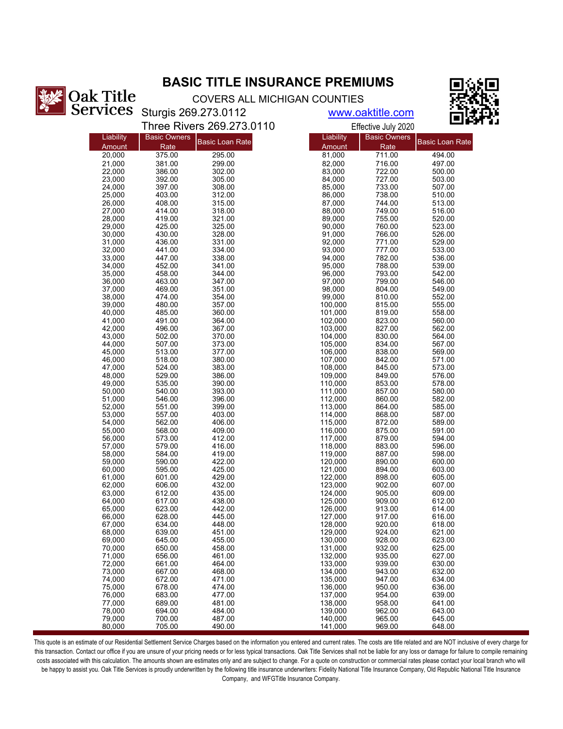## **BASIC TITLE INSURANCE PREMIUMS**



COVERS ALL MICHIGAN COUNTIES

Sturgis 269.273.0112

www.oaktitle.com

|                  |                     | Three Rivers 269.273.0110 |                    | Effective July 2020 | பட                     |
|------------------|---------------------|---------------------------|--------------------|---------------------|------------------------|
| Liability        | <b>Basic Owners</b> |                           | Liability          | <b>Basic Owners</b> |                        |
| Amount           | Rate                | <b>Basic Loan Rate</b>    | Amount             | Rate                | <b>Basic Loan Rate</b> |
| 20,000           | 375.00              | 295.00                    | 81,000             | 711.00              | 494.00                 |
| 21,000           | 381.00              | 299.00                    | 82,000             | 716.00              | 497.00                 |
| 22,000           | 386.00              | 302.00                    | 83,000             | 722.00              | 500.00                 |
| 23.000<br>24,000 | 392.00<br>397.00    | 305.00<br>308.00          | 84,000<br>85,000   | 727.00<br>733.00    | 503.00<br>507.00       |
| 25,000           | 403.00              | 312.00                    | 86,000             | 738.00              | 510.00                 |
| 26,000           | 408.00              | 315.00                    | 87,000             | 744.00              | 513.00                 |
| 27,000           | 414.00              | 318.00                    | 88,000             | 749.00              | 516.00                 |
| 28,000           | 419.00              | 321.00                    | 89,000             | 755.00              | 520.00                 |
| 29,000           | 425.00              | 325.00                    | 90,000             | 760.00              | 523.00                 |
| 30,000<br>31,000 | 430.00<br>436.00    | 328.00<br>331.00          | 91,000<br>92,000   | 766.00<br>771.00    | 526.00<br>529.00       |
| 32,000           | 441.00              | 334.00                    | 93,000             | 777.00              | 533.00                 |
| 33,000           | 447.00              | 338.00                    | 94,000             | 782.00              | 536.00                 |
| 34,000           | 452.00              | 341.00                    | 95,000             | 788.00              | 539.00                 |
| 35,000           | 458.00              | 344.00                    | 96,000             | 793.00              | 542.00                 |
| 36,000           | 463.00              | 347.00                    | 97,000             | 799.00              | 546.00                 |
| 37,000           | 469.00              | 351.00                    | 98,000             | 804.00              | 549.00                 |
| 38,000<br>39,000 | 474.00<br>480.00    | 354.00<br>357.00          | 99,000<br>100,000  | 810.00<br>815.00    | 552.00<br>555.00       |
| 40,000           | 485.00              | 360.00                    | 101,000            | 819.00              | 558.00                 |
| 41,000           | 491.00              | 364.00                    | 102,000            | 823.00              | 560.00                 |
| 42,000           | 496.00              | 367.00                    | 103,000            | 827.00              | 562.00                 |
| 43,000           | 502.00              | 370.00                    | 104,000            | 830.00              | 564.00                 |
| 44,000           | 507.00              | 373.00                    | 105,000            | 834.00              | 567.00                 |
| 45,000<br>46,000 | 513.00<br>518.00    | 377.00<br>380.00          | 106,000<br>107,000 | 838.00<br>842.00    | 569.00<br>571.00       |
| 47,000           | 524.00              | 383.00                    | 108,000            | 845.00              | 573.00                 |
| 48,000           | 529.00              | 386.00                    | 109,000            | 849.00              | 576.00                 |
| 49,000           | 535.00              | 390.00                    | 110,000            | 853.00              | 578.00                 |
| 50,000           | 540.00              | 393.00                    | 111,000            | 857.00              | 580.00                 |
| 51,000           | 546.00              | 396.00                    | 112,000            | 860.00              | 582.00                 |
| 52,000<br>53,000 | 551.00<br>557.00    | 399.00<br>403.00          | 113,000<br>114,000 | 864.00<br>868.00    | 585.00<br>587.00       |
| 54,000           | 562.00              | 406.00                    | 115,000            | 872.00              | 589.00                 |
| 55,000           | 568.00              | 409.00                    | 116,000            | 875.00              | 591.00                 |
| 56,000           | 573.00              | 412.00                    | 117,000            | 879.00              | 594.00                 |
| 57,000           | 579.00              | 416.00                    | 118,000            | 883.00              | 596.00                 |
| 58,000           | 584.00              | 419.00                    | 119,000            | 887.00              | 598.00                 |
| 59,000<br>60,000 | 590.00<br>595.00    | 422.00<br>425.00          | 120,000<br>121,000 | 890.00<br>894.00    | 600.00<br>603.00       |
| 61,000           | 601.00              | 429.00                    | 122,000            | 898.00              | 605.00                 |
| 62,000           | 606.00              | 432.00                    | 123,000            | 902.00              | 607.00                 |
| 63,000           | 612.00              | 435.00                    | 124,000            | 905.00              | 609.00                 |
| 64,000           | 617.00              | 438.00                    | 125,000            | 909.00              | 612.00                 |
| 65.000           | 623.00<br>628.00    | 442.00<br>445.00          | 126,000<br>127,000 | 913.00<br>917.00    | 614.00                 |
| 66,000<br>67,000 | 634.00              | 448.00                    | 128,000            | 920.00              | 616.00<br>618.00       |
| 68,000           | 639.00              | 451.00                    | 129,000            | 924.00              | 621.00                 |
| 69,000           | 645.00              | 455.00                    | 130.000            | 928.00              | 623.00                 |
| 70,000           | 650.00              | 458.00                    | 131,000            | 932.00              | 625.00                 |
| 71,000           | 656.00              | 461.00                    | 132,000            | 935.00              | 627.00                 |
| 72,000<br>73,000 | 661.00              | 464.00                    | 133,000<br>134,000 | 939.00<br>943.00    | 630.00                 |
| 74,000           | 667.00<br>672.00    | 468.00<br>471.00          | 135,000            | 947.00              | 632.00<br>634.00       |
| 75,000           | 678.00              | 474.00                    | 136,000            | 950.00              | 636.00                 |
| 76,000           | 683.00              | 477.00                    | 137,000            | 954.00              | 639.00                 |
| 77,000           | 689.00              | 481.00                    | 138,000            | 958.00              | 641.00                 |
| 78,000           | 694.00              | 484.00                    | 139,000            | 962.00              | 643.00                 |
| 79,000<br>80,000 | 700.00<br>705.00    | 487.00<br>490.00          | 140,000<br>141,000 | 965.00<br>969.00    | 645.00<br>648.00       |
|                  |                     |                           |                    |                     |                        |

This quote is an estimate of our Residential Settlement Service Charges based on the information you entered and current rates. The costs are title related and are NOT inclusive of every charge for this transaction. Contact our office if you are unsure of your pricing needs or for less typical transactions. Oak Title Services shall not be liable for any loss or damage for failure to compile remaining costs associated with this calculation. The amounts shown are estimates only and are subject to change. For a quote on construction or commercial rates please contact your local branch who will be happy to assist you. Oak Title Services is proudly underwritten by the following title insurance underwriters: Fidelity National Title Insurance Company, Old Republic National Title Insurance Company, and WFGTitle Insurance Company.